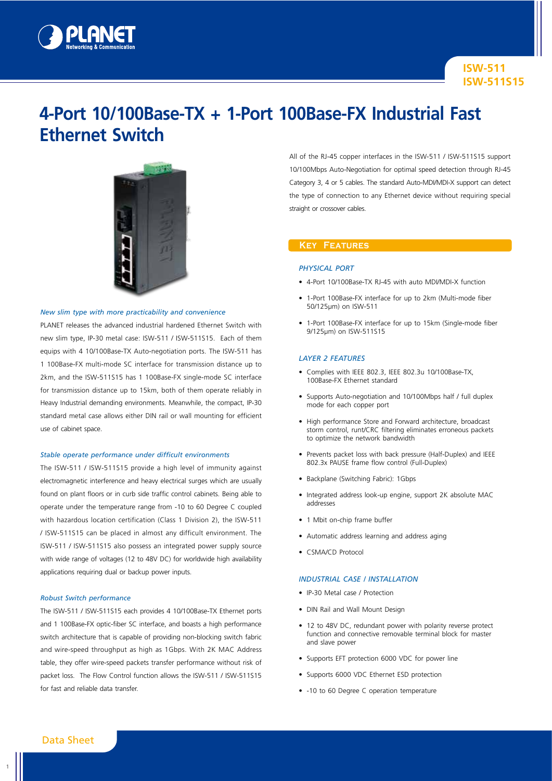

# **4-Port 10/100Base-TX + 1-Port 100Base-FX Industrial Fast Ethernet Switch**



### *New slim type with more practicability and convenience*

PLANET releases the advanced industrial hardened Ethernet Switch with new slim type, IP-30 metal case: ISW-511 / ISW-511S15. Each of them equips with 4 10/100Base-TX Auto-negotiation ports. The ISW-511 has 1 100Base-FX multi-mode SC interface for transmission distance up to 2km, and the ISW-511S15 has 1 100Base-FX single-mode SC interface for transmission distance up to 15km, both of them operate reliably in Heavy Industrial demanding environments. Meanwhile, the compact, IP-30 standard metal case allows either DIN rail or wall mounting for efficient use of cabinet space.

#### *Stable operate performance under difficult environments*

The ISW-511 / ISW-511S15 provide a high level of immunity against electromagnetic interference and heavy electrical surges which are usually found on plant floors or in curb side traffic control cabinets. Being able to operate under the temperature range from -10 to 60 Degree C coupled with hazardous location certification (Class 1 Division 2), the ISW-511 / ISW-511S15 can be placed in almost any difficult environment. The ISW-511 / ISW-511S15 also possess an integrated power supply source with wide range of voltages (12 to 48V DC) for worldwide high availability applications requiring dual or backup power inputs.

#### *Robust Switch performance*

The ISW-511 / ISW-511S15 each provides 4 10/100Base-TX Ethernet ports and 1 100Base-FX optic-fiber SC interface, and boasts a high performance switch architecture that is capable of providing non-blocking switch fabric and wire-speed throughput as high as 1Gbps. With 2K MAC Address table, they offer wire-speed packets transfer performance without risk of packet loss. The Flow Control function allows the ISW-511 / ISW-511S15 for fast and reliable data transfer.

All of the RJ-45 copper interfaces in the ISW-511 / ISW-511S15 support 10/100Mbps Auto-Negotiation for optimal speed detection through RJ-45 Category 3, 4 or 5 cables. The standard Auto-MDI/MDI-X support can detect the type of connection to any Ethernet device without requiring special straight or crossover cables.

## **Key Features**

### *Physical Port*

- • 4-Port 10/100Base-TX RJ-45 with auto MDI/MDI-X function
- • 1-Port 100Base-FX interface for up to 2km (Multi-mode fiber 50/125µm) on ISW-511
- 1-Port 100Base-FX interface for up to 15km (Single-mode fiber 9/125µm) on ISW-511S15

#### *Layer 2 Features*

- • Complies with IEEE 802.3, IEEE 802.3u 10/100Base-TX, 100Base-FX Ethernet standard
- Supports Auto-negotiation and 10/100Mbps half / full duplex mode for each copper port
- High performance Store and Forward architecture, broadcast storm control, runt/CRC filtering eliminates erroneous packets to optimize the network bandwidth
- • Prevents packet loss with back pressure (Half-Duplex) and IEEE 802.3x PAUSE frame flow control (Full-Duplex)
- Backplane (Switching Fabric): 1Gbps
- Integrated address look-up engine, support 2K absolute MAC addresses
- 1 Mbit on-chip frame buffer
- • Automatic address learning and address aging
- CSMA/CD Protocol

## *Industrial Case / Installation*

- • IP-30 Metal case / Protection
- DIN Rail and Wall Mount Design
- 12 to 48V DC, redundant power with polarity reverse protect function and connective removable terminal block for master and slave power
- Supports EFT protection 6000 VDC for power line
- • Supports 6000 VDC Ethernet ESD protection
- -10 to 60 Degree C operation temperature

# Data Sheet

1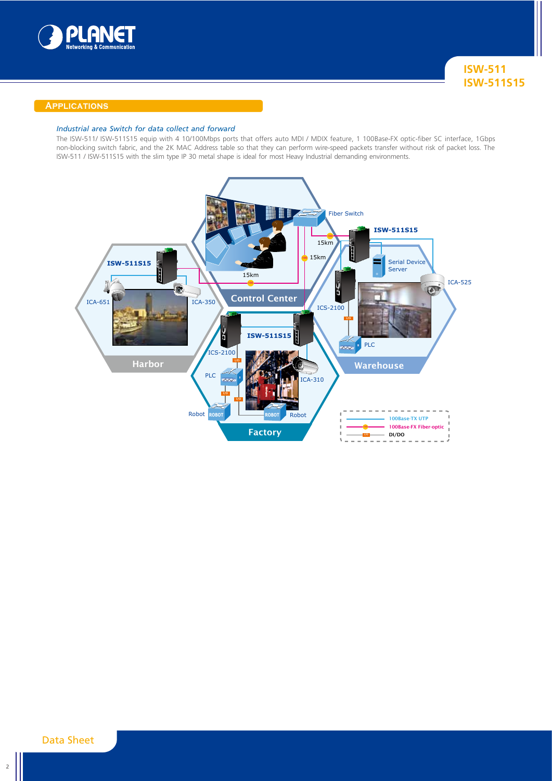

## **Applications**

## *Industrial area Switch for data collect and forward*

The ISW-511/ ISW-511S15 equip with 4 10/100Mbps ports that offers auto MDI / MDIX feature, 1 100Base-FX optic-fiber SC interface, 1Gbps non-blocking switch fabric, and the 2K MAC Address table so that they can perform wire-speed packets transfer without risk of packet loss. The ISW-511 / ISW-511S15 with the slim type IP 30 metal shape is ideal for most Heavy Industrial demanding environments.